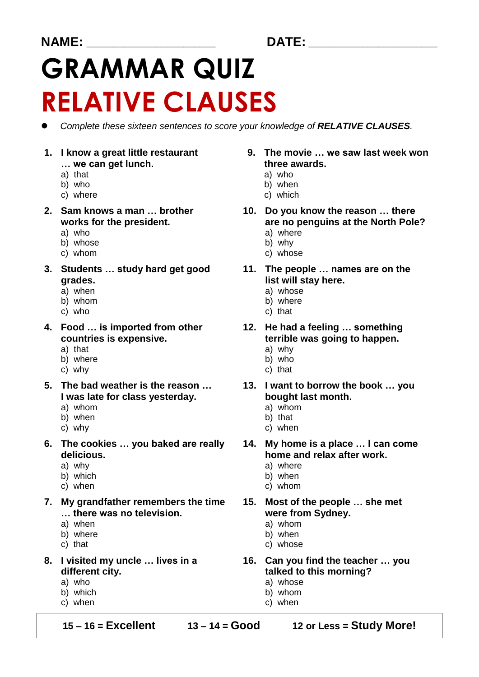### **NAME: \_\_\_\_\_\_\_\_\_\_\_\_\_\_\_\_\_\_\_\_\_\_\_\_ DATE: \_\_\_\_\_\_\_\_\_\_\_\_\_\_\_\_\_\_\_\_\_\_\_\_**

# **GRAMMAR QUIZ RELATIVE CLAUSES**

*Complete these sixteen sentences to score your knowledge of RELATIVE CLAUSES.* 

- **… we can get lunch. three awards.**<br> **that** a) who
- 
- 
- c) where c) which

- 
- b) whose
- 
- **3. Students … study hard get good 11. The people … names are on the grades. grades**.
	- a) when a) whose<br>b) whom a) whose
	- b) whom
	-
- **4. Food … is imported from other 12. He had a feeling … something**
	- a) that and a series a series and a series and a series and a series and a series and a series and a series and
	- b) where b) who c) that c) who c) that
	- c) why
- **5. The bad weather is the reason … 13. I want to borrow the book … you I** was late for class yesterday. **bought last month.** 
	- a) whom a) a) whom
	- b) when b) that
	-
- **6. The cookies … you baked are really 14. My home is a place … I can come delicious. home and relax after work.** 
	-
	-
	-
- **7. My grandfather remembers the time 15. Most of the people … she met**  ... there was no television.
	-
	-
	-
- different city. **talked to this morning?** 
	-
	- b) which b) whom
	- c) when c) when c) when
- **1. I know a great little restaurant 9. The movie … we saw last week won** 
	- a) that and a series a series and a series a series and a series and a series and a series and a series and a s
	- b) who b) when
		-
- **2. Sam knows a man … brother 10. Do you know the reason … there** works for the president. **are no penguins at the North Pole?** 
	- a) who a) where the state of the state of the state and where the state of the state of the state of the state of the state of the state of the state of the state of the state of the state of the state of the state of the
		-
	- c) whom c) whose
		- -
			-
	- c) who c) that
	- **countries is expensive.** The same of terrible was going to happen.
		-
		-
		-
		- -
			-
	- c) why c) when
		-
	- a) why a) where
	- b) which b) when
	- c) when c) whom
		- -
			-
	- c) that c) whose
- **8. I visited my uncle … lives in a 16. Can you find the teacher … you** 
	- a) who a) whose a) and a  $\alpha$  a) whose
		-
		-

**15 – 16 = Excellent 13 – 14 = Good 12 or Less = Study More!**

- 
- 
- 
- 
- 
- a) when a) whom
- b) where b) when
	-